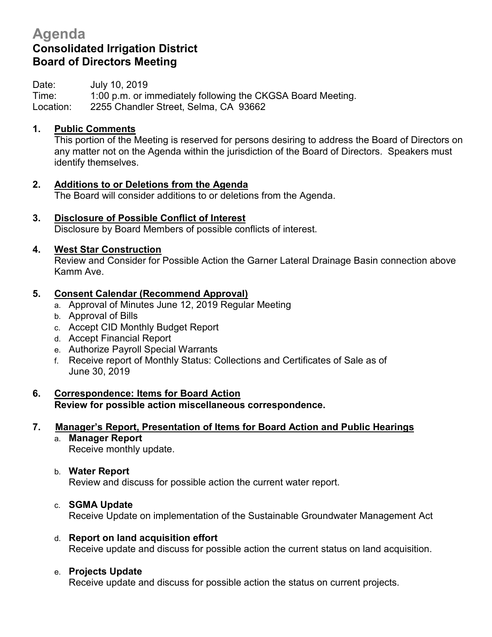# **Agenda Consolidated Irrigation District Board of Directors Meeting**

Date: July 10, 2019 Time: 1:00 p.m. or immediately following the CKGSA Board Meeting. Location: 2255 Chandler Street, Selma, CA 93662

#### **1. Public Comments**

This portion of the Meeting is reserved for persons desiring to address the Board of Directors on any matter not on the Agenda within the jurisdiction of the Board of Directors. Speakers must identify themselves.

- **2. Additions to or Deletions from the Agenda** The Board will consider additions to or deletions from the Agenda.
- **3. Disclosure of Possible Conflict of Interest**

Disclosure by Board Members of possible conflicts of interest.

#### **4. West Star Construction**

Review and Consider for Possible Action the Garner Lateral Drainage Basin connection above Kamm Ave.

#### **5. Consent Calendar (Recommend Approval)**

- a. Approval of Minutes June 12, 2019 Regular Meeting
- b. Approval of Bills
- c. Accept CID Monthly Budget Report
- d. Accept Financial Report
- e. Authorize Payroll Special Warrants
- f. Receive report of Monthly Status: Collections and Certificates of Sale as of June 30, 2019
- **6. Correspondence: Items for Board Action Review for possible action miscellaneous correspondence.**

# **7. Manager's Report, Presentation of Items for Board Action and Public Hearings**

a. **Manager Report** Receive monthly update.

# b. **Water Report**

Review and discuss for possible action the current water report.

# c. **SGMA Update**

Receive Update on implementation of the Sustainable Groundwater Management Act

# d. **Report on land acquisition effort**

Receive update and discuss for possible action the current status on land acquisition.

# e. **Projects Update**

Receive update and discuss for possible action the status on current projects.